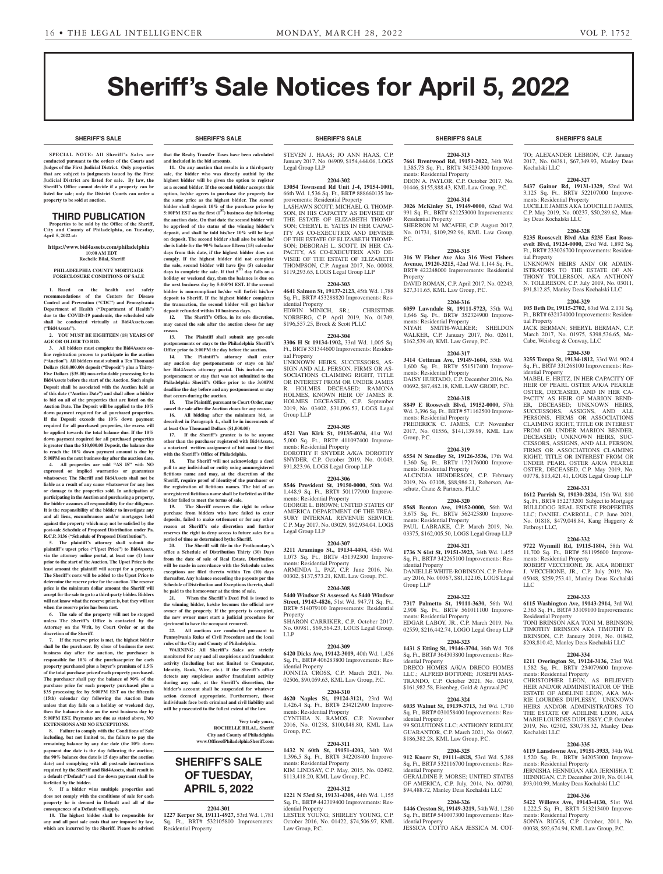**SHERIFF'S SALE SHERIFF'S SALE SHERIFF'S SALE SHERIFF'S SALE SHERIFF'S SALE**

# Sheriff's Sale Notices for April 5, 2022

**SPECIAL NOTE: All Sheriff 's Sales are conducted pursuant to the orders of the Courts and Judges of the First Judicial District. Only properties that are subject to judgments issued by the First Judicial District are listed for sale. By law, the Sheriff's Office cannot decide if a property can be listed for sale; only the District Courts can order a property to be sold at auction.** 

# THIRD PUBLICATION

**Properties to be sold by the Office of the Sheriff, City and County of Philadelphia, on Tuesday, April 5, 2022 at:**

**https://www.bid4assets.com/philadelphia 10:00 AM EDT**

 **Rochelle Bilal, Sheriff**

#### **PHILADELPHIA COUNTY MORTGAGE FORECLOSURE CONDITIONS OF SALE**

**1. Based on the health and safety recommendations of the Centers for Disease Control and Prevention ("CDC") and Pennsylvania Department of Health ("Department of Health") due to the COVID-19 pandemic, the scheduled sale shall be conducted virtually at Bid4Assets.com ("Bid4Assets").**

**2. YOU MUST BE EIGHTEEN (18) YEARS OF AGE OR OLDER TO BID.**

**3. All bidders must complete the Bid4Assets online registration process to participate in the auction ("Auction"). All bidders must submit a Ten Thousand Dollars (\$10,000.00) deposit ("Deposit") plus a Thirty-Five Dollars (\$35.00) non-refundable processing fee to Bid4Assets before the start of the Auction. Such single Deposit shall be associated with the Auction held as of this date ("Auction Date") and shall allow a bidder to bid on all of the properties that are listed on the Auction Date. The Deposit will be applied to the 10% down payment required for all purchased properties. If the Deposit exceeds the 10% down payment required for all purchased properties, the excess will be applied towards the total balance due. If the 10% down payment required for all purchased properties is greater than the \$10,000.00 Deposit, the balance due to reach the 10% down payment amount is due by 5:00PM on the next business day after the auction date.**

**4. All properties are sold "AS IS" with NO expressed or implied warranties or guarantees whatsoever. The Sheriff and Bid4Assets shall not be liable as a result of any cause whatsoever for any loss or damage to the properties sold. In anticipation of participating in the Auction and purchasing a property, the bidder assumes all responsibility for due diligence. It is the responsibility of the bidder to investigate any and all liens, encumbrances and/or mortgages held against the property which may not be satisfied by the post-sale Schedule of Proposed Distribution under Pa. R.C.P. 3136 ("Schedule of Proposed Distribution").**

**5. The plaintiff's attorney shall submit the plaintiff's upset price ("Upset Price") to Bid4Assets, via the attorney online portal, at least one (1) hour prior to the start of the Auction. The Upset Price is the least amount the plaintiff will accept for a property. The Sheriff's costs will be added to the Upset Price to determine the reserve price for the auction. The reserve price is the minimum dollar amount the Sheriff will accept for the sale to go to a third-party bidder. Bidders will not know what the reserve price is, but they will see when the reserve price has been met.**

**6. The sale of the property will not be stopped unless The Sheriff's Office is contacted by the Attorney on the Writ, by Court Order or at the discretion of the Sheriff.**

**7. If the reserve price is met, the highest bidder shall be the purchaser. By close of businessthe next business day after the auction, the purchaser is responsible for 10% of the purchase price for each property purchased plus a buyer's premium of 1.5% of the total purchase priceof each property purchased. The purchaser shall pay the balance of 90% of the purchase price for each property purchased plus a \$35 processing fee by 5:00PM EST on the fifteenth (15th) calendar day following the Auction Date unless that day falls on a holiday or weekend day, then the balance is due on the next business day by 5:00PM EST. Payments are due as stated above, NO EXTENSIONS AND NO EXCEPTIONS.**

**8. Failure to comply with the Conditions of Sale including, but not limited to, the failure to pay the remaining balance by any due date (the 10% down payment due date is the day following the auction; the 90% balance due date is 15 days after the auction date) and complying with all post-sale instructions required by the Sheriff and Bid4Assets, shall result in a default ("Default") and the down payment shall be forfeited by the bidder.**

**9. If a bidder wins multiple properties and does not comply with the conditions of sale for each property he is deemed in Default and all of the consequences of a Default will apply.**

**10. The highest bidder shall be responsible for any and all post sale costs that are imposed by law, which are incurred by the Sheriff. Please be advised** 

**that the Realty Transfer Taxes have been calculated and included in the bid amounts. 11. On any auction that results in a third-party** 

**sale, the bidder who was directly outbid by the highest bidder will be given the option to register as a second bidder. If the second bidder accepts this option, he/she agrees to purchase the property for the same price as the highest bidder. The second bidder shall deposit 10% of the purchase price by 5:00PM EST on the first (1st) business day following the auction date. On that date the second bidder will be apprised of the status of the winning bidder's deposit, and shall be told his/her 10% will be kept on deposit. The second bidder shall also be told he/ she is liable for the 90% balance fifteen (15) calendar days from this date, if the highest bidder does not comply. If the highest bidder did not complete the sale, second bidder will have five (5) calendar days to complete the sale. If that 5th day falls on a holiday or weekend day, then the balance is due on the next business day by 5:00PM EST. If the second bidder is non-compliant he/she will forfeit his/her deposit to Sheriff. If the highest bidder completes the transaction, the second bidder will get his/her deposit refunded within 10 business days. 12. The Sheriff's Office, in its sole discretion,** 

**may cancel the sale after the auction closes for any**  reas **13. The Plaintiff shall submit any pre-sale** 

**postponements or stays to the Philadelphia Sheriff's Office prior to 3:00PM the day before the auction. 14. The Plaintiff's attorney shall enter** 

**any auction day postponements or stays on his/ her Bid4Assets attorney portal. This includes any postponement or stay that was not submitted to the Philadelphia Sheriff's Office prior to the 3:00PM deadline the day before and any postponement or stay that occurs during the auction.**

**15. The Plaintiff, pursuant to Court Order, may cancel the sale after the Auction closes for any reason. 16. All bidding after the minimum bid, as described in Paragraph 4., shall be in increments of at least One Thousand Dollars (\$1,000.00)**

**17. If the Sheriff's grantee is to be anyone other than the purchaser registered with Bid4Assets, a notarized written assignment of bid must be filed with the Sheriff's Office of Philadelphia.**

**18. The Sheriff will not acknowledge a deed poll to any individual or entity using anunregistered fictitious name and may, at the discretion of the Sheriff, require proof of identityof the purchaser or the registration of fictitious names. The bid of an unregistered fictitious name shall be forfeited as if the bidder failed to meet the terms of sale.**

**19. The Sheriff reserves the right to refuse purchase from bidders who have failed to enter deposits, failed to make settlement or for any other reason at Sheriff's sole discretion and further reserves the right to deny access to future sales for a period of time as determined bythe Sheriff.**

**20. The Sheriff will file in the Prothonotary's office a Schedule of Distribution Thirty (30) Days from the date of sale of Real Estate. Distribution will be made in accordance with the Schedule unless exceptions are filed thereto within Ten (10) days thereafter. Any balance exceeding the payouts per the Schedule of Distribution and Exceptions thereto, shall be paid to the homeowner at the time of sale.**

**21. When the Sheriff's Deed Poll is issued to the winning bidder, he/she becomes the official new owner of the property. If the property is occupied, the new owner must start a judicial procedure for ejectment to have the occupant removed.**

**22. All auctions are conducted pursuant to Pennsylvania Rules of Civil Procedure and the local rules of the City and County of Philadelphia.**

**WARNING: All Sheriff's Sales are strictly monitored for any and all suspicious and fraudulent activity (Including but not limited to Computer, Identity, Bank, Wire, etc.). If the Sheriff's office detects any suspicious and/or fraudulent activity during any sale, at the Sheriff's discretion, the bidder's account shall be suspended for whatever action deemed appropriate. Furthermore, those individuals face both criminal and civil liability and will be prosecuted to the fullest extent of the law.**

> **Very truly yours, ROCHELLE BILAL, Sheriff City and County of Philadelphia www.OfficeofPhiladelphiaSheriff.com**

# **SHERIFF'S SALE OF TUESDAY, APRIL 5, 2022**

# **2204-301**

**1227 Kerper St, 19111-4927,** 53rd Wd. 1,781 Sq. Ft., BRT# 532105800 Improvements: Residential Property

# **SHERIFF'S SALE SHERIFF'S SALE SHERIFF'S SALE SHERIFF'S SALE SHERIFF'S SALE**

STEVEN J. HAAS; JO ANN HAAS, C.P. January 2017, No. 04909, \$154,444.06, LOGS Legal Group LLP

**2204-302 13054 Townsend Rd Unit J-4, 19154-1001,**  66th Wd. 1,536 Sq. Ft., BRT# 888660135 Im-

provements: Residential Property LASHAWN SCOTT; MICHAEL G. THOMP-SON, IN HIS CAPACITY AS DEVISEE OF THE ESTATE OF ELIZABETH THOMP-SON; CHERYL E. YATES IN HER CAPAC-ITY AS CO-EXECUTRIX AND DEVISEE OF THE ESTATE OF ELIZABETH THOMP-SON; DEBORAH L. SCOTT, IN HER CA-PACITY, AS CO-EXECUTRIX AND DE-VISEE OF THE ESTATE OF ELIZABETH THOMPSON, C.P. August 2017, No. 00008, \$119,293.65, LOGS Legal Group LLP

# **2204-303**

**4641 Salmon St, 19137-2123,** 45th Wd. 1,788 Sq. Ft., BRT# 453288820 Improvements: Residential Property EDWIN MINICH, SR.; CHRISTINE

NORBERG, C.P. April 2019, No. 01749, \$196,557.25, Brock & Scott PLLC **2204-304**

**3306 H St 19134-1902,** 33rd Wd. 1,005 Sq. Ft., BRT# 331344600 Improvements: Residential Property

UNKNOWN HEIRS, SUCCESSORS, AS-SIGN AND ALL PERSON, FIRMS OR AS-SOCIATIONS CLAIMING RIGHT, TITLE OR INTEREST FROM OR UNDER JAMES R. HOLMES DECEASED; RAMONA HOLMES, KNOWN HEIR OF JAMES R. HOLMES DECEASED, C.P. September 2019, No. 03402, \$31,096.53, LOGS Legal Group LLP

# **2204-305**

**4521 Van Kirk St, 19135-4034,** 41st Wd. 5,000 Sq. Ft., BRT# 411097400 Improvements: Residential Property DOROTHY F. SNYDER A/K/A DOROTHY SNYDER, C.P. October 2019, No. 01043, \$91,823.96, LOGS Legal Group LLP

# **2204-306**

**8546 Provident St, 19150-0000,** 50th Wd. 1,448.9 Sq. Ft., BRT# 501177900 Improvements: Residential Property GEORGE L. BROWN; UNITED STATES OF AMERICA DEPARTMENT OF THE TREA-SURY INTERNAL REVENUE SERVICE, C.P. May 2017, No. 03029, \$92,934.04, LOGS Legal Group LLP

## **2204-307**

**3211 Aramingo St., 19134-4404,** 45th Wd. 1,073 Sq. Ft., BRT# 451392300 Improvements: Residential Property ARMINDA L. PAZ, C.P. June 2016, No. 00302, \$137,573.21, KML Law Group, P.C.

## **2204-308**

**5440 Windsor St Assessed As 5440 Windsor Street, 19143-4826,** 51st Wd. 947.71 Sq. Ft., BRT# 514079100 Improvements: Residential Property SHARON CARRIKER, C.P. October 2017,

No. 00981, \$69,564.23, LOGS Legal Group, LLP

# **2204-309**

**6420 Dicks Ave, 19142-3019,** 40th Wd. 1,426 Sq. Ft., BRT# 406283800 Improvements: Residential Property JONNITA CROSS, C.P. March 2021, No.

02506, \$90,059.63, KML Law Group, P.C.

# **2204-310**

**4620 Naples St, 19124-3121,** 23rd Wd. 1,426.4 Sq. Ft., BRT# 234212900 Improvements: Residential Property CYNTHIA N. RAMOS, C.P. November 2016, No. 01238, \$100,848.80, KML Law Group, P.C.

# **2204-311**

**1432 N 60th St, 19151-4203,** 34th Wd. 1,396.5 Sq. Ft., BRT# 342208400 Improvements: Residential Property KIM LINDSAY, C.P. May, 2015, No. 02492, \$113,418.20, KML Law Group, P.C.

# **2204-312**

**1221 N 53rd St, 19131-4308,** 44th Wd. 1,155 Sq. Ft., BRT# 442319400 Improvements: Residential Property LESTER YOUNG; SHIRLEY YOUNG, C.P. October 2016, No. 01422, \$74,506.97, KML Law Group, P.C.

**2204-313 7661 Brentwood Rd, 19151-2022,** 34th Wd. 1,385.73 Sq. Ft., BRT# 343234300 Improvements: Residential Property DEON A. PAYLOR, C.P. October 2017, No. 01446, \$155,888.43, KML Law Group, P.C.

# **2204-314**

**3026 McKinley St, 19149-0000,** 62nd Wd. 991 Sq. Ft., BRT# 621253000 Improvements: Residential Property SHERRON M. MCAFEE, C.P. August 2017, No. 01731, \$109,292.96, KML Law Group, P.C.

# **2204-315**

**316 W Fisher Ave Aka 316 West Fishers Avenue, 19120-3215,** 42nd Wd. 1,144 Sq. Ft., BRT# 422248000 Improvements: Residential

Property DAVID ROMAN, C.P. April 2017, No. 02243, \$27,311.65, KML Law Group, P.C.

## **2204-316**

**6059 Lawndale St, 19111-5723,** 35th Wd. 1,646 Sq. Ft., BRT# 352324900 Improvements: Residential Property NIYAH SMITH-WALKER; SHELDON WALKER, C.P. January 2017, No. 02611, \$162,539.40, KML Law Group, P.C.

# **2204-317**

**3414 Cottman Ave, 19149-1604,** 55th Wd. 1,600 Sq. Ft., BRT# 551517400 Improvements: Residential Property DAISY HURTADO, C.P. December 2016, No. 00692, \$87,482.18, KML LAW GROIP, P.C.

# **2204-318 8849 E Roosevelt Blvd, 19152-0000,** 57th

Wd. 3,396 Sq. Ft., BRT# 571162500 Improvements: Residential Property FREDERICK C. JAMES, C.P. November 2017, No. 01556, \$141,139.98, KML Law Group, P.C.

# **2204-319**

**6554 N Smedley St, 19126-3536,** 17th Wd. 1,360 Sq. Ft., BRT# 172176000 Improvements: Residential Property ALCINDIA HENDERSON, C.P. February 2019, No. 03108, \$88,986.21, Roberson, Anschutz, Crane & Partners, PLLC

## **2204-320**

**8568 Benton Ave, 19152-0000,** 56th Wd. 3,675 Sq. Ft., BRT# 562425800 Improvements: Residential Property PAUL LABRAKE, C.P. March 2019, No. 03375, \$162,005.50, LOGS Legal Group LLP

# **2204-321**

**1736 N 61st St, 19151-3923,** 34th Wd. 1,455 Sq. Ft., BRT# 342265100 Improvements: Residential Property DANIELLE WHITE-ROBINSON, C.P. February 2016, No. 00367, \$81,122.05, LOGS Legal Group LLP

# **2204-322**

**7317 Palmetto St, 19111-3630,** 56th Wd. 2,908 Sq. Ft., BRT# 561011100 Improvements: Residential Property EDGAR LABOY, JR., C.P. March 2019, No. 02559, \$216,442.74, LOGO Legal Group LLP

# **2204-323**

**1431 S Etting St, 19146-3704,** 36th Wd. 708 Sq. Ft., BRT# 364303800 Improvements: Residential Property DRECO HOMES A/K/A DRECO HOMES LLC.; ALFRED BOTTONE; JOSEPH MAS-TRANDO, C.P. October 2021, No. 02419, \$161,982.58, Eisenbeg, Gold & Agrawal,PC

# **2204-324**

**6035 Walnut St, 19139-3713,** 3rd Wd. 1,710 Sq. Ft., BRT# 031058400 Improvements: Residential Property 99 SOLUTIONS LLC; ANTHONY REDLEY, GUARANTOR, C.P. March 2021, No. 01667, \$186,382.28, KML Law Group, P.C.

## **2204-325**

**912 Knorr St, 19111-4828,** 53rd Wd. 5,388 Sq. Ft., BRT# 532116700 Improvements: Residential Property GERALDINE P. MORSE; UNITED STATES OF AMERICA, C.P. July, 2014, No. 00780, \$94,488.72, Manley Deas Kochalski LLC

# **2204-326**

**1446 Creston St, 19149-3219,** 54th Wd. 1,280 Sq. Ft., BRT# 541007300 Improvements: Residential Property JESSICA COTTO AKA JESSICA M. COT-

TO; ALEXANDER LEBRON, C.P. January 2017, No. 04381, \$67,349.93, Manley Deas Kochalski LLC

# **2204-327**

**5437 Gainor Rd, 19131-1329,** 52nd Wd. 3,125 Sq. Ft., BRT# 522107000 Improve-ments: Residential Property LUCILLE JAMES AKA LOUCILLE JAMES, C.P. May 2019, No. 00237, \$50,289.62, Manley Deas Kochalski LLC

**evelt Blvd, 19124-0000,** 23rd Wd. 1,892 Sq. Ft., BRT# 233026700 Improvements: Residen-

UNKNOWN HEIRS AND/ OR ADMIN-ISTRATORS TO THE ESTATE OF AN-THONY TOLLERSON, AKA ANTHONY N. TOLLRESON, C.P. July 2019, No. 03011, \$91,812.85, Manley Deas Kochalski LLC **2204-329 105 Beth Dr, 19115-2702,** 63rd Wd. 2,131 Sq. Ft., BRT# 632174000 Improvements: Residen-

JACK BERMAN; SHERYL BERMAN, C.P. March 2017, No. 01975, \$398,536.65, Mc-

**2204-330 3255 Tampa St, 19134-1812,** 33rd Wd. 902.4 Sq. Ft., BRT# 331268100 Improvements: Res-

MABEL E. HRITZ, IN HER CAPACITY OF HEIR OF PEARL OSTER A/K/A PEARLE OSTER, DECEASED, AND IN HER CA-PACITY AS HEIR OF MARION BEND-ER, DECEASED; UNKNOWN HEIRS, SUCCESSORS, ASSIGNS, AND ALL PERSONS, FIRMS OR ASSOCIATIONS CLAIMING RIGHT, TITLE OR INTEREST FROM OR UNDER MARION BENDER DECEASED; UNKNOWN HEIRS, SUC-CESSORS, ASSIGNS, AND ALL PERSON, FIRMS OR ASSOCIATIONS CLAIMING RIGHT, TITLE OR INTEREST FROM OR UNDER PEARL OSTER A/K/A PEARLE OSTER, DECEASED, C.P. May 2019, No. 00778, \$13,421.41, LOGS Legal Group LLP **2204-331 1612 Parrish St, 19130-2824,** 15th Wd. 810 Sq. Ft., BRT# 152273200 Subject to Mortgage BULLDDOG REAL ESTATE PROPERTIES LLC; DANIEL CARROLL, C.P. June 2021, No. 01818, \$479,048.84, Kang Haggerty &

**2204-332 9722 Wynmill Rd, 19115-1804,** 58th Wd. 11,700 Sq. Ft., BRT# 581195600 Improve-ments: Residential Property ROBERT VECCHIONE, JR. AKA ROBERT J. VECCHIONE, JR., C.P. July 2019, No. 05048, \$259,753.41, Manley Deas Kochalski

**2204-333 6115 Washington Ave, 19143-2914,** 3rd Wd. 2,363 Sq. Ft., BRT# 33109100 Improvements:

TONI BRINSON AKA TONI M. BRINSON<sup>.</sup> TIMOTHY BRINSON AKA TIMOTHY D. BRINSON, C.P. January 2019, No. 01842, \$208,810.42, Manley Deas Kochalski LLC **2204-334 1211 Overington St, 19124-3136,** 23rd Wd. 1,582 Sq. Ft., BRT# 234079600 Improve-

CHRISTOPHER LEON, AS BELIEVED HEIR AND/OR ADMINISTRATOR OF THE ESTATE OF ADELINE LEON, AKA MA-RIE LOURDES DUPLESSY, UNKNOWN HEIRS AND/OR ADMINISTRATORS TO THE ESTATE OF ADELINE LEON, AKA MARIE LOURDES DUPLESSY, C.P. October 2019, No. 02302, \$30,738.32, Manley Deas

**2204-335 6119 Lansdowne Ave, 19151-3933,** 34th Wd. 1,520 Sq. Ft., BRT# 342053000 Improve-

JERNISHA HENNIGAN AKA JERNISHA T. HENNIGAN, C.P. December 2019, No. 01144, \$93,010.99, Manley Deas Kochalski LLC **2204-336 5422 Willows Ave, 19143-4130,** 51st Wd. 1,222.5 Sq. Ft., BRT# 513213400 Improve-

SONYA RIGGS, C.P. October, 2011, No. 00038, \$92,674.94, KML Law Group, P.C.

Cabe, Weisberg & Conway, LLC

### **2204-328 5235 Roosevelt Blvd Aka 5235 East Roos-**

tial Property

tial Property

idential Property

Fetbroyt LLC,

LLC

Residential Property

ments: Residential Property

ments: Residential Property

ments: Residential Property

Kochalski LLC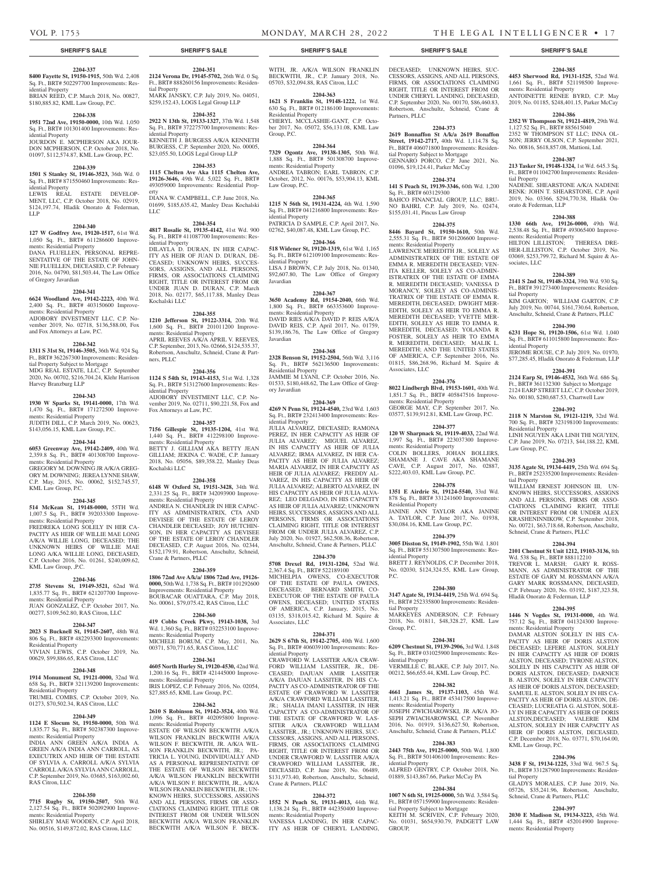# VOL P. 1753 MONDAY, MARCH 28, 2022 THE LEGAL INTELLIGENCER • 17

# **SHERIFF'S SALE SHERIFF'S SALE SHERIFF'S SALE SHERIFF'S SALE SHERIFF'S SALE**

#### **2204-337 8400 Fayette St, 19150-1915,** 50th Wd. 2,408

Sq. Ft., BRT# 502297700 Improvements: Residential Property BRIAN REED, C.P. March 2018, No. 00827,

\$180,885.82, KML Law Group, P.C.

# **2204-338**

**1951 72nd Ave, 19150-0000,** 10th Wd. 1,050 Sq. Ft., BRT# 101301400 Improvements: Residential Property

JOURDON E. MCPHERSON AKA JOUR-DON MCPHERSON, C.P. October 2018, No. 01097, \$112,574.87, KML Law Group, P.C.

# **2204-339**

**1501 S Stanley St, 19146-3523,** 36th Wd. 0 Sq. Ft., BRT# 871550460 Improvements: Residential Property

LEWIS REAL ESTATE DEVELOP-MENT, LLC, C.P. October 2018, No. 02919, \$124,197.74, Hladik Onorato & Federman, LLP

#### **2204-340**

**127 W Godfrey Ave, 19120-1517,** 61st Wd. 1,050 Sq. Ft., BRT# 611286600 Improvements: Residential Property

DANA FLUELLEN, PERSONAL REPRE-SENTATIVE OF THE ESTATE OF JOHN-NIE FLUELLEN, DECEASED, C.P. February 2016, No. 04790, \$81,503.44, The Law Office of Gregory Javardian

# **2204-341**

**6624 Woodland Ave, 19142-2223,** 40th Wd. 2,400 Sq. Ft., BRT# 403150600 Improvements: Residential Property AIJOBORY INVESTMENT LLC, C.P. No-

vember 2019, No. 02718, \$136,588.00, Fox and Fox Attorneys at Law, P.C.

#### **2204-342**

**1311 S 31st St, 19146-3505,** 36th Wd. 924 Sq. Ft., BRT# 362267300 Improvements: Residential Property Subject to Mortgage

MDG REAL ESTATE, LLC, C.P. September 2020, No. 00702, \$216,704.24, Klehr Harrison Harvey Branzburg LLP

#### **2204-343**

**1930 W Sparks St, 19141-0000,** 17th Wd. 1,470 Sq. Ft., BRT# 171272500 Improvements: Residential Property JUDITH DILL, C.P. March 2019, No. 00623, \$143,056.15, KML Law Group, P.C.

# **2204-344**

**6053 Greenway Ave, 19142-2409,** 40th Wd. 2,359.8 Sq. Ft., BRT# 401308700 Improvements: Residential Property GREGORY M. DOWNING JR A/K/A GREG-ORY M. DOWNING; JEREA LYNNE SHAW,

C.P. May, 2015, No. 00062, \$152,745.57, KML Law Group, P.C.

# **2204-345**

**514 McKean St, 19148-0000,** 55TH Wd. 1,007.5 Sq. Ft., BRT# 392033300 Improvements: Residential Property FREDREKA LONG SOLELY IN HER CA-PACITY AS HEIR OF WILLIE MAE LONG A/K/A WILLIE LONG, DECEASED; THE UNKNOWN HEIRS OF WILLIE MAE LONG A/KA WILLIE LONG, DECEASED, C.P. October 2016, No. 01261, \$240,009.62, KML Law Group, ,P.C.

#### **2204-346**

**2735 Stevens St, 19149-3521,** 62nd Wd. 1,835.77 Sq. Ft., BRT# 621207700 Improve-

ments: Residential Property JUAN GONZALEZ, C.P. October 2017, No. 00277, \$109,562.80, RAS Citron, LLC

# **2204-347**

**2023 S Bucknell St, 19145-2607,** 48th Wd. 806 Sq. Ft., BRT# 482293300 Improvements: Residential Property VIVIAN LEWIS, C.P. October 2019, No.

# 00629, \$99,886.65, RAS Citron, LLC

**2204-348 1914 Monument St, 19121-0000,** 32nd Wd. 658 Sq. Ft., BRT# 321139200 Improvements: Residential Property TRUMEL COMBS, C.P. October 2019, No.

# 01273, \$70,502.34, RAS Citron, LLC

**2204-349**

# **1124 E Slocum St, 19150-0000,** 50th Wd. 1,835.77 Sq. Ft., BRT# 502387300 Improvements: Residential Property

INDIA ANN GREEN A/K/A INDIA A. GREEN A/K/A INDIA ANN CARROLL, AS EXECUTRIX AND HEIR OF THE ESTATE OF SYLVIA A. CARROLL A/K/A SYLVIA CARROLL A/K/A SYLVIA ANN CARROLL, C.P. September 2019, No. 03685, \$163,002.60, RAS Citron, LLC

# **2204-350**

**7715 Rugby St, 19150-2507,** 50th Wd. 2,127.54 Sq. Ft., BRT# 502092900 Improvements: Residential Property SHIRLEY MAE WOODEN, C.P. April 2018, No. 00516, \$149,872.02, RAS Citron, LLC

**2124 Verona Dr, 19145-5702,** 26th Wd. 0 Sq. Ft., BRT# 888260156 Improvements: Residen-WITH, JR. A/K/A WILSON FRANKLIN BECKWITH, JR., C.P. January 2018, No. 05703, \$32,094.88, RAS Citron, LLC

**2204-351**

MARK JANSKY, C.P. July 2019, No. 04051, \$259,152.43, LOGS Legal Group LLP **2204-352 2922 N 13th St, 19133-1327,** 37th Wd. 1,548 Sq. Ft., BRT# 372275700 Improvements: Res-

KENNETH J. BURGESS A/K/A KENNETH BURGESS, C.P. September 2020, No. 00005, \$23,055.50, LOGS Legal Group LLP **2204-353 1115 Chelten Ave Aka 1115 Chelten Ave, 19126-3646,** 49th Wd. 5,022 Sq. Ft., BRT# 493059000 Improvements: Residential Prop-

DIANA W. CAMPBELL, C.P. June 2018, No. 01699, \$185,635.42, Manley Deas Kochalski

**2204-354 4817 Rosalie St, 19135-4142,** 41st Wd. 900 Sq. Ft., BRT# 411087700 Improvements: Res-

DILAYLA D. DURAN, IN HER CAPAC-ITY AS HEIR OF JUAN D. DURAN, DE-CEASED; UNKNOWN HEIRS, SUCCES-SORS, ASSIGNS, AND ALL PERSONS, FIRMS, OR ASSOCIATIONS CLAIMING RIGHT, TITLE OR INTEREST FROM OR UNDER JUAN D. DURAN, C.P. March 2018, No. 02177, \$65,117.88, Manley Deas

**2204-355 1210 Jefferson St, 19122-3314,** 20th Wd. 1,600 Sq. Ft., BRT# 201011200 Improve-

APRIL REEVES A/K/A APRIL V. REEVES, C.P. September, 2013, No. 02666, \$124,535.37, Robertson, Anschultz, Schneid, Crane & Part-

**2204-356 1124 S 54th St, 19143-4153,** 51st Wd. 1,328 Sq. Ft., BRT# 513127600 Improvements: Res-

AIJOBORY INVESTMENT LLC, C.P. November 2019, No. 02711, \$90,221.58, Fox and

**2204-357 7156 Gillespie St, 19135-1204,** 41st Wd. 1,440 Sq. Ft., BRT# 412298100 Improve-

BETTY J. GILLIAM AKA BETTY JEAN GILLIAM; JEKINA C. WADE, C.P. January 2018, No. 05056, \$89,358.22, Manley Deas

**2204-358 6148 W Oxford St, 19151-3428,** 34th Wd. 2,331.25 Sq. Ft., BRT# 342093900 Improve-

ANDREA N. CHANDLER IN HER CAPAC-ITY AS ADMINISTRATRIX, CTA AND DEVISEE OF THE ESTATE OF LEROY CHANDLER DECEASED; JOY HUTCHIN-SON, IN HER CAPACITY AS DEVISEE OF THE ESTATE OF LEROY CHANDLER DECEASED, C.P. August 2016, No. 02344, \$152,179.91, Robertson, Anschultz, Schneid,

**2204-359 1806 72nd Ave A/k/a/ 1806 72nd Ave, 19126- 0000,** 50th Wd. 1,738 Sq. Ft., BRT# 101292600 Improvements: Residential Property BOUBACAR OUATTARA, C.P. May 2018, No. 00061, \$79,075.42, RAS Citron, LLC **2204-360 419 Cobbs Creek Pkwy, 19143-1038,** 3rd Wd. 1,360 Sq. Ft., BRT# 032253100 Improve-

MICHELE BORUM, C.P. May, 2011, No. 00371, \$70,771.65, RAS Citron, LLC **2204-361 4605 North Hurley St, 19120-4530,** 42nd Wd. 1,200.16 Sq. Ft., BRT# 421445000 Improve-

IRIS LOPEZ, C.P. February 2016, No. 02054, \$27,885.65, KML Law Group, P.C.

**2204-362 2610 S Robinson St, 19142-3524,** 40th Wd. 1,096 Sq. Ft., BRT# 402095800 Improve-

ESTATE OF WILSON BECKWITH A/K/A WILSON FRANKLIN BECKWITH A/K/A WILSON F. BECKWITH, JR. A/K/A WIL-SON FRANKLIN BECKWITH, JR.; PA-TRICIA L. YOUNG, INDIVIDUALLY AND AS A PERSONAL REPRESENTATIVE OF THE ESTATE OF WILSON BECKWITH A/K/A WILSON FRANKLIN BECKWITH A/K/A WILSON F. BECKWITH, JR., A/K/A WILSON FRANKLIN BECKWITH, JR.; UN-KNOWN HEIRS, SUCCESSORS, ASSIGNS AND ALL PERSONS, FIRMS OR ASSO-CIATIONS CLAIMING RIGHT, TITLE OR INTEREST FROM OR UNDER WILSON BECKWITH A/K/A WILSON FRANKLIN BECKWITH A/K/A WILSON F. BECK-

tial Property

idential Property

erty

LLC

idential Property

Kochalski LLC

ners, PLLC

idential Property

Kochalski LLC

Fox Attorneys at Law, P.C.

ments: Residential Property

ments: Residential Property

Crane & Partners, PLLC

ments: Residential Property

ments: Residential Property

ments: Residential Property

ments: Residential Property

# **2204-363**

**1621 S Franklin St, 19148-1222,** 1st Wd. 630 Sq. Ft., BRT# 012186100 Improvements: Residential Property CHERYL MCCLASHIE-GANT, C.P. October 2017, No. 05072, \$56,131.08, KML Law Group, P.C.

# **2204-364**

**7329 Ogontz Ave, 19138-1305,** 50th Wd. 1,888 Sq. Ft., BRT# 501308700 Improvements: Residential Property ANDREA TABRON; EARL TABRON, C.P. October, 2012, No. 00176, \$53,904.13, KML Law Group, P.C.

# **2204-365**

**1215 N 56th St, 19131-4224,** 4th Wd. 1,590 Sq. Ft., BRT# 041216800 Improvements: Residential Property PATRICIA D SAMPLE, C.P. April 2017, No. 02762, \$40,087.48, KML Law Group, P.C.

**2204-366 518 Widener St, 19120-1319,** 61st Wd. 1,165 Sq. Ft., BRT# 612109100 Improvements: Residential Property LISA J BROWN, C.P. July 2018, No. 01340,

\$92,607.80, The Law Office of Gregory Javardian

# **2204-367**

**3650 Academy Rd, 19154-2040,** 66th Wd. 1,800 Sq. Ft., BRT# 663353600 Improvements: Residential Property DAVID RIES A/K/A DAVID P. REIS A/K/A DAVID REIS, C.P. April 2017, No. 01759, \$139,186.76, The Law Office of Gregory Javardian

## **2204-368**

**2328 Benson St, 19152-2504,** 56th Wd. 3,116 Sq. Ft., BRT# 562136500 Improvements: Residential Property JAMMIE M LYANI, C.P. October 2016, No. 01533, \$180,448.62, The Law Office of Gregory Javardian

### **2204-369**

**4269 N Penn St, 19124-4540,** 23rd Wd. 1,603 Sq. Ft., BRT# 232413400 Improvements: Residential Property JULIA ALVAREZ, DECEASED; RAMONA PEREZ, IN HER CAPACITY AS HEIR OF JULIA ALVAREZ; MIGUEL ALVAREZ, IN HIS CAPACITY AS HEIR OF JULIA ALVAREZ; IRMA ALVAREZ, IN HER CA-PACITY AS HEIR OF HUJA ALVAREZ. MARIA ALVAREZ, IN HER CAPACITY AS HEIR OF JULIA ALVAREZ; FREDDY AL-VAREZ, IN HIS CAPACITY AS HEIR OF JULIA ALVAREZ; ALBERTO ALVAREZ, IN HIS CAPACITY AS HEIR OF JULIA ALVA-REZ; LEO DELGADO, IN HIS CAPACITY AS HEIR OF JULIA ALVAREZ; UNKNOWN HEIRS, SUCCESSORS, ASSIGNS AND ALL PERSONS, FIRMS OR ASSOCIATIONS CLAIMING RIGHT, TITLE OR INTEREST FROM OR UNDER JULIA ALVAREZ, C.P. July 2020, No. 01927, \$62,508.36, Robertson, Anschultz, Schneid, Crane & Partners, PLLC

# **2204-370**

**5708 Drexel Rd, 19131-1204,** 52nd Wd. 2,367.4 Sq. Ft., BRT# 522189100 MICHELPIA OWENS, CO-EXECUTOR OF THE ESTATE OF PAULA OWENS, DECEASED; BERNARD SMITH, CO-EXECUTOR OF THE ESTATE OF PAULA OWENS, DECEASED; UNITED STATES OF AMERICA, C.P. January, 2015, No. 03135, \$318,015.42, Richard M. Squire & Associates, LLC

# **2204-371**

**2629 S 67th St, 19142-2705,** 40th Wd. 1,600 Sq. Ft., BRT# 406039100 Improvements: Residential Property CRAWFORD W. LASSITER A/K/A CRAW-FORD WILLIAM LASSITER, JR., DE-CEASED; DAJUAN AMIR LASSITER A/K/A DAJUAN LASSITER, IN HIS CA-PACITY AS CO-ADMINISTRATOR OF THE ESTATE OF CRAWFORD W. LASSITER A/K/A CRAWFORD WILLIAM LASSITER, JR.; SHALIA IMANI LASSITER, IN HER CAPACITY AS CO-ADMINISTRATOR OF THE ESTATE OF CRAWFORD W. LAS-SITER A/K/A CRAWFORD WILLIAM LASSITER., JR.; UNKNOWN HEIRS, SUC-CESSORS, ASSIGNS, AND ALL PERSONS, FIRMS, OR ASSOCIATIONS CLAIMING RIGHT, TITLE OR INTEREST FROM OR UNDER CRAWFORD W. LASSITER A/K/A CRAWFORD WILLIAM LASSITER, IR. DECEASED, C.P. June 2019, No. 06489 \$131,973.40, Robertson, Anschultz, Schneid, Crane & Partners, PLLC

# **2204-372**

**1552 N Peach St, 19131-4013,** 44th Wd. 1,138.24 Sq. Ft., BRT# 442350400 Improvements: Residential Property VANESSA LANDING, IN HER CAPAC-ITY AS HEIR OF CHERYL LANDING,

DECEASED; UNKNOWN HEIRS, SUC-CESSORS, ASSIGNS, AND ALL PERSONS, FIRMS, OR ASSOCIATIONS CLAIMING RIGHT, TITLE OR INTEREST FROM OR UNDER CHERYL LANDING, DECEASED, C.P. September 2020, No. 00170, \$86,460.83, Robertson, Anschultz, Schneid, Crane & Partners, PLLC

# **2204-373**

**2619 Bonnaffon St A/k/a 2619 Bonaffon Street, 19142-2717,** 40th Wd. 1,114.78 Sq. Ft., BRT# 406071800 Improvements: Residential Property Subject to Mortgage GENNARO PORCO, C.P. June 2021, No. 01096, \$19,124.41, Parker McCay

# **2204-374**

**141 S Peach St, 19139-3346,** 60th Wd. 1,200 Sq. Ft., BRT# 603129300 BAHCO FINANCIAL GROUP, LLC; BRU-NO BAHRI, C.P. July 2019, No. 02474, \$155,031.41, Pincus Law Group

# **2204-375**

**8446 Bayard St, 19150-1610,** 50th Wd. 2,555.31 Sq. Ft., BRT# 501206600 Improvements: Residential Property LAWRENCE MEREDITH JR., SOLELY AS ADMINISTRATRIX OF THE ESTATE OF EMMA R. MEREDITH DECEASED; VEN-ITA KELLER, SOLELY AS CO-ADMIN-ISTRATRIX OF THE ESTATE OF EMMA R. MEREDITH DECEASED; VANESSA D MORANCY, SOLELY AS CO-ADMINIS-TRATRIX OF THE ESTATE OF EMMA R. MEREDITH, DECEASED; DWIGHT MER-EDITH, SOLELY AS HEIR TO EMMA R. MEREDITH DECEASED; YVETTE MER-EDITH, SOLELY AS HEIR TO EMMA R. MEREDITH, DECEASED; YOLANDA R FOSTER, SOLELY AS HEIR TO EMMA R. MEREDITH, DECEASED; MALIK L. MEREDITH; AND THE UNITED STATES OF AMERICA, C.P. September 2016, No. 01815, \$86,268.96, Richard M. Squire & Associates, LLC

# **2204-376**

**8022 Lindbergh Blvd, 19153-1601,** 40th Wd. 1,851.7 Sq. Ft., BRT# 405847516 Improvements: Residential Property GEORGE MAY, C.P. September 2017, No. 03577, \$139,912.81, KML Law Group, P.C.

#### **2204-377 120 W Sharpnack St, 19119-4033,** 22nd Wd.

1,997 Sq. Ft., BRT# 223037300 Improvements: Residential Property COLIN BOLLERS, JOHAN BOLLERS, SHAMANE J. CAVE AKA SHAMANE CAVE, C.P. August 2017, No. 02887, \$222,403.03, KML Law Group, P.C.

## **2204-378**

**1351 E Airdrie St, 19124-5540,** 33rd Wd. 878 Sq. Ft., BRT# 331241600 Improvements: Residential Property JANINE ANN TAYLOR AKA JANINE

A. TAYLOR, C.P. June 2017, No. 01938, \$30,084.16, KML Law Group, P.C.

# **2204-379**

**3005 Disston St, 19149-1902,** 55th Wd. 1,801 Sq. Ft., BRT# 551307500 Improvements: Residential Property

BRETT J. REYNOLDS, C.P. December 2018, No. 02030, \$124,324.55, KML Law Group, P.C.

# **2204-380**

**3147 Agate St, 19134-4419,** 25th Wd. 694 Sq. Ft., BRT# 252335800 Improvements: Residential Property MARKEYES ANDERSON, C.P. February

2018, No. 01811, \$48,328.27, KML Law Group, P.C. **2204-381**

**6209 Chestnut St, 19139-2906,** 3rd Wd. 1,848 Sq. Ft., BRT# 031025900 Improvements: Residential Property

VERMILLE C. BLAKE, C.P. July 2017, No. 00212, \$66,655.44, KML Law Group, P.C.

# **2204-382**

**4661 James St, 19137-1103,** 45th Wd. 1,413.21 Sq. Ft., BRT# 453417500 Improvements: Residential Property JOSEPH ZWICHAROWSKI, JR A/K/A JO-SEPH ZWIACHAROWSKI, C.P. November

2016, No. 01919, \$136,627.50, Robertson, Anschultz, Schneid, Crane & Partners, PLLC **2204-383**

# **2443 75th Ave, 19125-0000,** 50th Wd. 1,800 Sq. Ft., BRT# 501406100 Improvements: Residential Property ALFRED GENTRY, C.P. October 2018, No.

01889, \$143,867.66, Parker McCay PA **2204-384**

**1007 N 6th St, 19125-0000,** 5th Wd. 3,584 Sq. Ft., BRT# 057159900 Improvements: Residential Property Subject to Mortgage KEITH M. SCRIVEN, C.P. February 2020, No. 01031, \$654,930.79, PADGETT LAW GROUP,

# **2204-385**

**4453 Sherwood Rd, 19131-1525,** 52nd Wd. 1,661 Sq. Ft., BRT# 521198500 Improvements: Residential Property ANTOINETTE RENEE BYRD, C.P. May 2019, No. 01185, \$248,401.15, Parker McCay

#### **2204-386**

orato & Federman, LLP

ments: Residential Property

sociates, LLC

tial Property

idential Property

Residential Property

Law Group, P.C.

tial Property

**2352 W Thompson St, 19121-4819,** 29th Wd. 1,127.52 Sq. Ft., BRT# 885615040 2352 W THOMPSON ST LLC; INNA OL-SON; JERRY OLSON, C.P. September 2021, No. 00816, \$618,857.08, Mattioni, Ltd.

#### **2204-387**

**213 Tasker St, 19148-1324,** 1st Wd. 645.3 Sq. Ft., BRT# 011042700 Improvements: Residential Property NADENE. SHEARSTONE A/K/A NADENE RENK: JOHN T. SHEARSTONE, C.P. April 2019, No. 03366, \$294,770.38, Hladik On-

**2204-388 1330 66th Ave, 19126-0000,** 49th Wd. 2,538.48 Sq. Ft., BRT# 493065400 Improve-

HILTON LILLISTON; THERESA DRE-HER-LILLISTON, C.P. October 2019, No. 03069, \$253,799.72, Richard M. Squire & As-

**2204-389 2141 S 2nd St, 19148-3324,** 39th Wd. 930 Sq. Ft., BRT# 391273400 Improvements: Residen-

KIM GARTON; WILLIAM GARTON, C.P. July 2019, No. 00744, \$161,730.64, Robertson, Anschultz, Schneid, Crane & Partners, PLLC **2204-390 6231 Hope St, 19120-1506,** 61st Wd. 1,040 Sq. Ft., BRT# 611015800 Improvements: Res-

JEROME ROUSE, C.P. July 2019, No. 01970, \$77,285.45, Hladik Onorato & Federman, LLP **2204-391 2124 Earp St, 19146-4532,** 36th Wd. 686 Sq. Ft., BRT# 361132300 Subject to Mortgage 2124 EARP STREET LLC, C.P. October 2019, No. 00180, \$280,687.53, Chartwell Law **2204-392 2118 N Marston St, 19121-1219,** 32rd Wd. 700 Sq. Ft., BRT# 323198100 Improvements:

LINH NGUYEN AKA LINH THI NGUYEN, C.P. June 2019, No. 07213, \$44,188.22, KML

**2204-393 3135 Agate St, 19134-4419,** 25th Wd. 694 Sq. Ft., BRT# 252335200 Improvements: Residen-

WILLIAM ERNEST JOHNSON III, UN-KNOWN HEIRS, SUCCESSORS, ASSIGNS AND ALL PERSONS, FIRMS OR ASSO-CIATIONS CLAIMING RIGHT, TITLE OR INTEREST FROM OR UNDER ALEX KRASHENINNIKOW, C.P. September 2018, No. 00721, \$63,718.68, Robertson, Anschultz,

**2204-394 2101 Chestnut St Unit 1212, 19103-3136,** 8th Wd. 538 Sq. Ft., BRT# 888112210 TREVOR L. MARSH; GARY R. ROSS-MANN, AS ADMINISTRATOR OF THE ESTATE OF GARY M. ROSSMANN A/K/A GARY MARK ROSSMANN, DECEASED, C.P. February 2020, No. 03192, \$187,323.58, Hladik Onorato & Federman, LLP

**2204-395 1446 N Vogdes St, 19131-0000,** 4th Wd. 757.12 Sq. Ft., BRT# 041324300 Improve-

DAMAR ALSTON SOLELY IN HIS CA-PACITY AS HEIR OF DORIS ALSTON DECEASED; LEFERE ALSTON, SOLELY IN HER CAPACITY AS HEIR OF DORIS ALSTON, DECEASED; TYRONE ALSTON, SOLELY IN HIS CAPACITY AS HEIR OF DORIS ALSTON, DECEASED; DARNICE B. ALSTON, SOLELY IN HER CAPACITY AS HEIR OF DORIS ALSTON, DECEASED; SAMUEL E. ALSTON, SOLELY IN HIS CA-PACITY AS HEIR OF DORIS ALSTON, DE-CEASED; LUCREATIA G. ALSTON, SOLE-LY IN HER CAPACITY AS HEIR OF DORIS ALSTON,DECEASED; VALERIE KIM ALSTON, SOLELY IN HER CAPACITY AS HEIR OF DORIS ALSTON, DECEASED, C.P. December 2018, No. 03771, \$70,164.00,

**2204-396 3438 F St, 19134-1225,** 33rd Wd. 967.5 Sq. Ft., BRT# 331287900 Improvements: Residen-

GLADYS MORALES, C.P. June 2019, No. 05726, \$35,241.96, Robertson, Anschultz,

**2204-397 2030 E Madison St, 19134-3223,** 45th Wd. 1,444 Sq. Ft., BRT# 452014900 Improve-

Schneid, Crane & Partners, PLLC

ments: Residential Property

ments: Residential Property

KML Law Group, P.C.

tial Property

Schneid, Crane & Partners, PLLC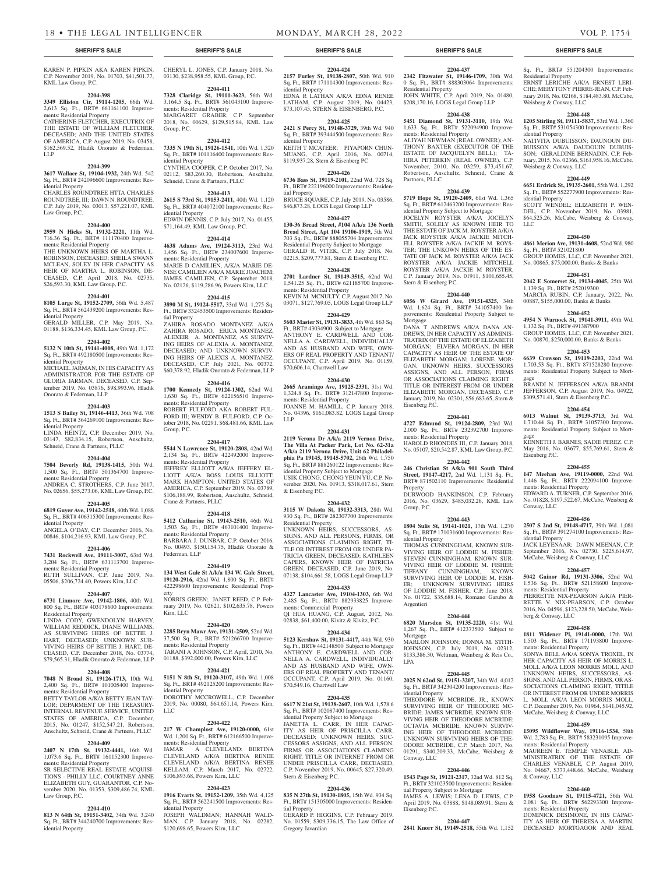**2204-424 2157 Furley St, 19138-2807,** 50th Wd. 910 Sq. Ft., BRT# 171114300 Improvements: Res-

EDNA R LATHAN A/K/A EDNA RENEE LATHAM, C.P. August 2019, No. 04423, \$73,107.45, STERN & EISENBERG, P.C. **2204-425 2421 S Percy St, 19148-3729,** 39th Wd. 940 Sq. Ft., BRT# 393444500 Improvements: Res-

KEITH T MCATEER; PIYAPORN CHUN-MUANG, C.P. April 2016, No. 00714, \$119,937.28, Stern & Eisenberg PC

**2204-426 6736 Bass St, 19119-2101,** 22nd Wd. 728 Sq. Ft., BRT# 222196000 Improvements: Residen-

BRUCE SQUARE, C.P. July 2019, No. 03586, \$46,873.28, LOGS Legal Group LLP **2204-427 130-36 Bread Street, #104 A/k/a 136 North Bread Street, Apt 104 19106-1919,** 5th Wd. 703 Sq. Ft., BRT# 888055704 Improvements: Residential Property Subject to Mortgage GERALD R. VITEK, C.P. July 2018, No. 02215, \$209,777.81, Stern & Eisenberg P.C. **2204-428 2701 Lardner St, 19149-3515,** 62nd Wd. 1,541.25 Sq. Ft., BRT# 621185700 Improve-

KEVIN M. MCNULTY, C.P. August 2017, No. 03071, \$127,769.05, LOGS Legal Group LLP **2204-429 5603 Master St, 19131-3833,** 4th Wd. 863 Sq. Ft., BRT# 43034900 Subject to Mortgage ANTHONY E. CARDWELL AND COR-NELLA A. CARDWELL, INDIVIDUALLY AND AS HUSBAND AND WIFE, OWN-ERS OF REAL PROPERTY AND TENANT/ OCCUPANT, C.P. April 2019, No. 01159,

**2204-430 2665 Aramingo Ave, 19125-2331,** 31st Wd. 1,324.8 Sq. Ft., BRT# 312147800 Improve-

JOANNE M. HAMILL, C.P. January 2018, No. 04396, \$161,083.82, LOGS Legal Group

**2204-431 2119 Verona Dr A/k/a 2119 Vernon Drive, The Villa At Packer Park, Lot No. 62-31a A/k/a 2119 Verona Drive, Unit 62 Philadelphia Pa 19145, 19145-5702,** 26th Wd. 1,750 Sq. Ft., BRT# 888260122 Improvements: Residential Property Subject to Mortgage USIK CHONG, CHONG YEUN YU, C.P. November 2020, No. 01913, \$318,017.61, Stern

**2204-432 3115 W Dakota St, 19132-3313,** 28th Wd. 930 Sq. Ft., BRT# 282307700 Improvements:

UNKNOWN HEIRS, SUCCESSORS, AS-SIGNS, AND ALL PERSONS, FIRMS, OR ASSOCIATIONS CLAIMING RIGHT, TI-TLE OR INTEREST FROM OR UNDER PA-TRICIA GREEN, DECEASED; KATHLEEN CAPERS, KNOWN HEIR OF PATRICIA GREEN, DECEASED, C.P. June 2019, No. 07138, \$104,661.58, LOGS Legal Group LLP **2204-433 4327 Lancaster Ave, 19104-1303,** 6th Wd. 2,485 Sq. Ft., BRT# 882933825 Improve-

QI HUA HUANG, C.P. August, 2012, No. 02838, \$61,400.00, Kivitz & Kivitz, P.C. **2204-434 5123 Kershaw St, 19131-4417,** 44th Wd. 930 Sq. Ft., BRT# 442148500 Subject to Mortgage ANTHONY E. CARDWELL AND COR-NELLA A. CARDWELL, INDIVIDUALLY AND AS HUSBAND AND WIFE, OWN-ERS OF REAL PROPERTY AND TENANT/ OCCUPANT, C.P. April 2019, No. 01160,

**2204-435 6617 N 21st St, 19138-2607,** 10th Wd. 1,578.6 Sq. Ft., BRT# 102087400 Improvements: Residential Property Subject to Mortgage JANETTA L. CARR, IN HER CAPAC-ITY AS HEIR OF PRISCILLA CARR, DECEASED; UNKNOWN HEIRS, SUC-CESSORS ASSIGNS, AND ALL PERSON, FIRMS OR ASSOCIATIONS CLAIMING RIGHT, TITLE OR INTERNET FROM OR UNDER PRISCILLA CARR, DECEASED, C.P. November 2019, No. 00645, \$27,320.49,

**2204-436 835 N 27th St, 19130-1805,** 15th Wd. 934 Sq. Ft., BRT# 151305000 Improvements: Residen-

GERARD P. HIGGINS, C.P. February 2019 No. 01559, \$309,336.15, The Law Office of

idential Property

idential Property

tial Property

ments: Residential Property

\$70,606.14, Chartwell Law

ments: Residential Property

LLP

& Eisenberg P.C.

Residential Property

ments: Commercial Property

\$70,549.16, Chartwell Law

Stern & Eisenberg P.C.

tial Property

Gregory Javardian

KAREN P. PIPKIN AKA KAREN PIPKIN, C.P. November 2019, No. 01703, \$41,501.77, KML Law Group, P.C.

#### **2204-398**

**3349 Elliston Cir, 19114-1205,** 66th Wd. 2,613 Sq. Ft., BRT# 661161100 Improvements: Residential Property

CATHERINE FLETCHER, EXECUTRIX OF THE ESTATE OF WILLIAM FLETCHER, DECEASED; AND THE UNITED STATES OF AMERICA, C.P. August 2019, No. 03458, \$162,569.52, Hladik Onorato & Federman, LLP

### **2204-399**

**3617 Wallace St, 19104-1932,** 24th Wd. 542 Sq. Ft., BRT# 242096600 Improvements: Residential Property

CHARLES ROUNDTREE HTTA CHARLES ROUNDTREE, III; DAWN N. ROUNDTREE, C.P. July 2019, No. 03013, \$57,221.07, KML Law Group, P.C.

# **2204-400**

**2959 N Hicks St, 19132-2221,** 11th Wd. 716.36 Sq. Ft., BRT# 111170400 Improvements: Residential Property

THE UNKNOWN HEIRS OF MARTHA L. ROBINSON, DECEASED; SHEILA SWANN MCLEAN, SOLEY IN HER CAPACITY AS HEIR OF MARTHA L. ROBINSON, DE-CEASED, C.P. April 2018, No. 02735, \$26,593.30, KML Law Group, P.C.

# **2204-401**

**8105 Large St, 19152-2709,** 56th Wd. 5,487 Sq. Ft., BRT# 562439200 Improvements: Residential Property

GERALD MILLER, C.P. May 2019, No. 01188, \$136,334.45, KML Law Group, P.C.

#### **2204-402**

**5132 N 10th St, 19141-4008,** 49th Wd. 1,172 Sq. Ft., BRT# 492180500 Improvements: Residential Property

MICHAEL JARMAN, IN HIS CAPACITY AS ADMINISTRATOR FOR THE ESTATE OF GLORIA JARMAN, DECEASED, C.P. September 2019, No. 03876, \$98,993.96, Hladik Onorato & Federman, LLP

# **2204-403**

**1513 S Bailey St, 19146-4413,** 36th Wd. 708 Sq. Ft., BRT# 364269100 Improvements: Residential Property

LINDA HEINTZ, C.P. December 2019, No. 03147, \$82,834.15, Robertson, Anschultz, Schneid, Crane & Partners, PLLC

# **2204-404**

**7504 Beverly Rd, 19138-1415,** 50th Wd. 1,500 Sq. Ft., BRT# 501364700 Improvements: Residential Property

ANDREA C. STROTHERS, C.P. June 2017, No. 02656, \$55,273.06, KML Law Group, P.C.

# **2204-405**

**6819 Guyer Ave, 19142-2518,** 40th Wd. 1,088 Sq. Ft., BRT# 406315300 Improvements: Residential Property

ANGELA O'DAY, C.P. December 2016, No. 00846, \$104,216.93, KML Law Group, P.C.

# **2204-406**

**7431 Rockwell Ave, 19111-3007,** 63rd Wd. 3,204 Sq. Ft., BRT# 631113700 Improvements: Residential Property RUTH SULLIVAN, C.P. June 2019, No.

05506, \$206,724.40, Powers Kirn, LLC

# **2204-407**

**6731 Linmore Ave, 19142-1806,** 40th Wd. 800 Sq. Ft., BRT# 403178600 Improvements: Residential Property LINDA CODY, GWENDOLYN HARVEY, WILLIAM REDDICK, DIANE WILLIAMS, AS SURVIVING HEIRS OF BETTIE J.

HART, DECEASED; UNKNOWN SUR-VIVING HEIRS OF BETTIE J. HART, DE-CEASED, C.P. December 2018, No. 03774, \$79,565.31, Hladik Onorato & Federman, LLP

# **2204-408**

**7048 N Broad St, 19126-1713,** 10th Wd. 2,400 Sq. Ft., BRT# 101005400 Improvements: Residential Property

BETTY TAYLOR A/K/A BETTY JEAN TAY-LOR; DEPARMENT OF THE TREASURY-INTERNAL REVENUE SERVICE, UNITED STATES OF AMERICA, C.P. December, 2015, No. 01247, \$152,547.21, Robertson, Anschultz, Schneid, Crane & Partners, PLLC

#### **2204-409**

**2407 N 17th St, 19132-4441,** 16th Wd. 1,073.6 Sq. Ft., BRT# 161152300 Improvements: Residential Property SR SELECTIVE REAL ESTATE ACQUISI-

TIONS - PHILLY LLC, COURTNEY ANNE ELIZABETH GUY, GUARANTOR, C.P. November 2020, No. 01353, \$309,486.74, KML Law Group, P.C.

# **2204-410**

**813 N 64th St, 19151-3402,** 34th Wd. 3,240 Sq. Ft., BRT# 344240700 Improvements: Residential Property

CHERYL L. JONES, C.P. January 2018, No. 03130, \$238,958.55, KML Group, P.C.

**2204-411 7328 Claridge St, 19111-3623,** 56th Wd. 3,164.5 Sq. Ft., BRT# 561043100 Improvements: Residential Property MARGARET GRABER, C.P. September 2018, No. 00629, \$129,515.84, KML Law Group, P.C.

# **2204-412**

**7335 N 19th St, 19126-1541,** 10th Wd. 1,320 Sq. Ft., BRT# 101116400 Improvements: Residential Property CYNTHIA COOPER, C.P. October 2017, No. 02112, \$83,260.30, Robertson, Anschultz, Schneid, Crane & Partners, PLLC

# **2204-413**

**2615 S 73rd St, 19153-2411,** 40th Wd. 1,120 Sq. Ft., BRT# 404072100 Improvements: Residential Property EDWIN DENNIS, C.P. July 2017, No. 01455, \$71,164.49, KML Law Group, P.C.

# **2204-414**

**4638 Adams Ave, 19124-3113,** 23rd Wd. 1,456 Sq. Ft., BRT# 234007600 Improvements: Residential Property MARIE D CAMILIEN, A/K/A MARIE DE-NISE CAMILIEN A/K/A MARIE JOACHIM; JAMES CAMILIEN, C.P. September 2018, No. 02126, \$119,286.96, Powers Kirn, LLC

**2204-415 3890 M St, 19124-5517,** 33rd Wd. 1,275 Sq. Ft., BRT# 332453500 Improvements: Residential Property

ZAHIRA ROSADO MONTANEZ A/K/A ZAHIRA ROSADO, ERICA MONTANEZ, ALEXEIR A. MONTANEZ, AS SURVIV-ING HEIRS OF ALEXIA A. MONTANEZ, DECEASED; AND UNKNOWN SURVIV-ING HEIRS OF ALEXIS A. MONTANEZ, DECEASED, C.P. July 2021, No. 00372, \$60,378.92, Hladik Onorato & Federman, LLP

#### **2204-416**

**1700 Kennedy St, 19124-1302,** 62nd Wd. 1,630 Sq. Ft., BRT# 622156510 Improvements: Residential Property ROBERT FULFORD AKA ROBERT FUL-FORD III; WENDY B. FULFORD, C.P. October 2018, No. 02291, \$68,481.66, KML Law Group, P.C.

# **2204-417**

**5544 N Lawrence St, 19120-2808,** 42nd Wd. 2,134 Sq. Ft., BRT# 422492000 Improvements: Residential Property JEFFREY ELLIOTT A/K/A JEFFERY EL-LIOTT A/K/A BOSS LOUIS ELLIOTT; MARK HAMPTON; UNITED STATES OF AMERICA, C.P. September 2019, No. 03789, \$106,188.99, Robertson, Anschultz, Schneid, Crane & Partners, PLLC

# **2204-418**

**5412 Catharine St, 19143-2510,** 46th Wd. 1,503 Sq. Ft., BRT# 463101400 Improvements: Residential Property BARBARA J. DUNBAR, C.P. October 2016, No. 00493, \$150,154.75, Hladik Onorato &

Federman, LLP **2204-419 134 West Gale St A/k/a 134 W. Gale Street,** 

**19120-2916,** 42nd Wd. 1,800 Sq. Ft., BRT# 422298600 Improvements: Residential Property NORRIS GREEN; JANET REED, C.P. Feb-

ruary 2019, No. 02621, \$102,635.78, Powers Kirn, LLC

# **2204-420**

**2285 Bryn Mawr Ave, 19131-2509,** 52nd Wd. 37,500 Sq. Ft., BRT# 521266700 Improvements: Residential Property TARANI A JOHNSON, C.P. April, 2010, No. 01188, \$392,000.00, Powers Kirn, LLC

# **2204-421**

**5151 N 8th St, 19120-3107,** 49th Wd. 1,008 Sq. Ft., BRT# 492125200 Improvements: Residential Property DOROTHY MCCROWELL, C.P. December 2019, No. 00080, \$64,651.14, Powers Kirn, LLC

# **2204-422**

**217 W Champlost Ave, 19120-0000,** 61st Wd. 1,200 Sq. Ft., BRT# 612166500 Improvements: Residential Property JAMAR A CLEVELAND; BERTINA CLEVELAND A/K/A BERTINA RENEE CLEVELAND A/K/A BERTINA RENEE KELLAM, C.P. March 2017, No. 02722,

# **2204-423**

\$106,893.68, Powers Kirn, LLC

**1916 Evarts St, 19152-1209,** 35th Wd. 4,125 Sq. Ft., BRT# 562241500 Improvements: Residential Property

JOSEPH WALDMAN; HANNAH WALD-MAN, C.P. January 2018, No. 02282, \$120,698.65, Powers Kirn, LLC

**2204-437 2342 Fitzwater St, 19146-1709,** 30th Wd. 0 Sq. Ft., BRT# 888303064 Improvements: Residential Property JOHN WHITE, C.P. April 2019, No. 01480, \$208,170.16, LOGS Legal Group LLP

# **2204-438**

**5451 Diamond St, 19131-3110,** 19th Wd. 1,633 Sq. Ft., BRT# 522094900 Improvements: Residential Property ALIYAH NEWMAN (REAL OWNER); AN-THONY BAXTER (EXECUTOR OF THE ESTATE OF JACQUELYN BELL); TA-HIRA PETERKIN (REAL OWNER), C.P. November, 2010, No. 03259, \$73,451.67, Robertson, Anschultz, Schneid, Crane & Partners, PLLC

# **2204-439**

**5719 Hope St, 19120-2409,** 61st Wd. 1,365 Sq. Ft., BRT# 612463200 Improvements: Residential Property Subject to Mortgage JOCELYN ROYSTER A/K/A JOCELYN SMITH, SOLELY AS KNOWN HEIR TO THE ESTATE OF JACK M. ROYSTER A/K/A JACK ROYSTER A/K/A JACKIE MITCH-ELL ROYSTER A/K/A JACKIE M. ROYS-TER; THE UNKOWN HEIRS OF THE ES-TATE OF JACK M. ROYSTER A/K/A JACK ROYSTER A/K/A JACKIE MITCHELL ROYSTER A/K/A JACKIE M ROYSTER, C.P. January 2019, No. 01911, \$101,655.45, Stern & Eisenberg P.C.

# **2204-440**

**6056 W Girard Ave, 19151-4325,** 34th Wd. 1,624 Sq. Ft., BRT# 341057400 Improvements: Residential Property Subject to Mortgage DANA T ANDREWS A/K/A DANA AN-DREWS, IN HER CAPACITY AS ADMINIS-TRATRIX OF THE ESTATE OF ELIZABETH MORGAN; ELVERA MORGAN, IN HER CAPACITY AS HEIR OF THE ESTATE OF ELIZABETH MORGAN; LORENE MOR-GAN, UKNOWN HEIRS, SUCCESSORS ASSIGNS, AND ALL PERSON, FIRMS OR ASSOCIATIONS CLAIMING RIGHT TITLE OR INTEREST FROM OR UNDER ELIZABETH MORGAN, DECEASED, C.P. January 2019, No. 02301, \$56,683.65, Stern & Eisenberg P.C.

**2204-441 4727 Edmund St, 19124-2809,** 23rd Wd.

2,000 Sq. Ft., BRT# 232392700 Improvements: Residential Property HAROLD RHONDES III, C.P. January 2018, No. 05107, \$20,542.87, KML Law Group, P.C.

# **2204-442**

**246 Christian St A/k/a 901 South Third Street, 19147-4217,** 2nd Wd. 1,131 Sq. Ft., BRT# 871502110 Improvements: Residential Property

DURWOOD HANKINSON, C.P. February 2016, No. 03629, \$485,032.26, KML Law Group, P.C.

#### **2204-443**

**1804 Sulis St, 19141-1021,** 17th Wd. 1,270 Sq. Ft., BRT# 171031600 Improvements: Residential Property THOMAS CUNNINGHAM, KNOWN SUR-VIVING HEIR OF LODDIE M. FISHER; STEVEN CUNNINGHAM, KNOWN SUR-VIVING HEIR OF LODDIE M. FISHER; TIFFANY CUNNINGHAM, KNOWN SURVIVING HEIR OF LODDIE M. FISH-ER; UNKNOWN SURVIVING HEIRS OF LODDIE M. FISHER, C.P. June 2018, No. 01722, \$35,688.14, Romano Garubo & Argentieri

# **2204-444**

**6820 Marsden St, 19135-2220,** 41st Wd. 1,267 Sq. Ft., BRT# 412373500 Subject to Mortgage MARLON JOHNSON; DONNA M. STITH-JOHNSON, C.P. July 2019, No. 02312, \$133,386.30, Weltman, Weinberg & Reis Co., LPA

# **2204-445**

**2025 N 62nd St, 19151-3207,** 34th Wd. 4,012 Sq. Ft., BRT# 342304200 Improvements: Residential Property

THEODORE W. MCBRIDE, JR., KNOWN SURVIVING HEIR OF THEODORE MC-BRIDE; JAMES MCBRIDE, KNOWN SUR-VIVNG HEIR OF THEODORE MCBRIDE; OCTAVIA MCBRIDE, KNOWN SURVIV-ING HEIR OF THEODORE MCBRIDE; UNKNOWN SURVIVING HEIRS OF THE-ODORE MCBRIDE, C.P. March 2017, No. 01291, \$340,209.33, McCabe, Weisberg & Conway, LLC

# **2204-446**

**1543 Page St, 19121-2317,** 32nd Wd. 812 Sq. Ft., BRT# 321023500 Improvements: Residential Property Subject to Mortgage JAMES A. LEWIS; LENA D. LEWIS, C.P. April 2019, No. 03888, \$148,089.91, Stern & Eisenberg P.C.

## **2204-447**

**2841 Knorr St, 19149-2518,** 55th Wd. 1,152

# **SHERIFF'S SALE SHERIFF'S SALE SHERIFF'S SALE SHERIFF'S SALE SHERIFF'S SALE**

Sq. Ft., BRT# 551204300 Improvements:

Residential Property ERNST LERICHE A/K/A ERNEST LERI-CHE; MERYTONY PIERRE-JEAN, C.P. February 2018, No. 02168, \$184,483.80, McCabe, Weisberg & Conway, LLC

# **2204-448**

Weisberg & Conway, LLC

Sq. Ft., BRT# 521021800

1,139 Sq. Ft., BRT# 252019300

1,132 Sq. Ft., BRT# 491387900

idential Property

LLC

gage

gage

Eisenberg P.C.

Conway, LLC

idential Property

ments: Residential Property

ments: Residential Property

ments: Residential Property

ments: Residential Property

ments: Residential Property

& Conway, LLC

berg & Conway, LLC

**1205 Stirling St, 19111-5837,** 53rd Wd. 1,360 Sq. Ft., BRT# 531054300 Improvements: Residential Property NATIVITA DUBUISSON; DAUNOUN DU-

BUISSON A/K/A DAUDOUIN DUBUIS-SON; GERALDINE BERNADIN, C.P. February, 2015, No. 02366, \$161,958.16, McCabe,

**2204-449 6651 Erdrick St, 19135-2601,** 55th Wd. 1,292 Sq. Ft., BRT# 552277900 Improvements: Res-

SCOTT WENDEL; ELIZABETH P. WEN-DEL, C.P. November 2019, No. 03981, \$64,525.26, McCabe, Weisberg & Conway,

**2204-450 4861 Merion Ave, 19131-4608,** 52nd Wd. 980

GROUP HOMES, LLC, C.P. November 2021, No. 00865, \$75,000.00, Banks & Banks **2204-451 2042 E Somerset St, 19134-4045,** 25th Wd.

MARCIA RUBIN, C.P. January, 2022, No. 00887, \$155,000.00, Banks & Banks **2204-452 4954 N Warnock St, 19141-3911,** 49th Wd.

GROUP HOMES, LLC, C.P. November 2021, No. 00870, \$250,000.00, Banks & Banks **2204-453 6639 Crowson St, 19119-2203,** 22nd Wd. 1,703.53 Sq. Ft., BRT# 871528280 Improvements: Residential Property Subject to Mort-

BRANDI N. JEFFERSON A/K/A BRANDI JEFFERSON, C.P. August 2019, No. 04922, \$309,571.41, Stern & Eisenberg P.C. **2204-454 6013 Walnut St, 19139-3713,** 3rd Wd. 1,710.44 Sq. Ft., BRT# 31057300 Improvements: Residential Property Subject to Mort-

KENNETH J. BARNES, SADIE PEREZ, C.P. May 2016, No. 03677, \$55,769.61, Stern &

**2204-455 147 Meehan Ave, 19119-0000,** 22nd Wd. 1,446 Sq. Ft., BRT# 222094100 Improve-

EDWARD A. TURNER, C.P. September 2016, No. 01828, \$197,522.67, McCabe, Weisberg &

**2204-456 2507 S 2nd St, 19148-4717,** 39th Wd. 1,081 Sq. Ft., BRT# 391274100 Improvements: Res-

JACK LEYENAAR; DAWN MEENAN, C.P. September 2016, No. 02730, \$225,614.97, McCabe, Weisberg & Conway, LLC **2204-457 5042 Gainor Rd, 19131-3306,** 52nd Wd. 1,536 Sq. Ft., BRT# 521158600 Improve-

PIERRETTE NIX-PEARSON A/K/A PIER-RETTE V. NIX-PEARSON, C.P. October 2016, No. 04596, \$123,228.50, McCabe, Weis-

**2204-458 1811 Widener Pl, 19141-0000,** 17th Wd. 1,503 Sq. Ft., BRT# 171193800 Improve-

SONYA BELL A/K/A SONYA TROXEL, IN HER CAPACITY AS HEIR OF MORRIS L. MOLL A/K/A LEON MORRIS MOLL AND UNKNOWN HEIRS, SUCCESSORS, AS-SIGNS, AND ALL PERSON, FIRMS, OR AS-SOCIATIONS CLAIMING RIGHT, TITILE OR INTEREST FROM OR UNDER MORRIS L. MOLL A/K/A LEON MORRIS MOLL, C.P. December 2019, No. 01964, \$141,045.92, McCabe, Weisberg & Conway, LLC **2204-459 15095 Wildflower Way, 19116-1534,** 58th Wd. 2,783 Sq. Ft., BRT# 583231095 Improve-

MAUREEN E. TEMPLE VENABLE, AD-MINISTRATRIX OF THE ESTATE OF CHARLES VENABLE, C.P. August 2019, No. 04667, \$373,448.66, McCabe, Weisberg

**2204-460 1958 Goodnaw St, 19115-4721,** 56th Wd. 2,081 Sq. Ft., BRT# 562293300 Improve-

DOMINICK DESIMONE, IN HIS CAPAC-ITY AS HEIR OF THERESA A MARTIN DECEASED MORTGAGOR AND REAL